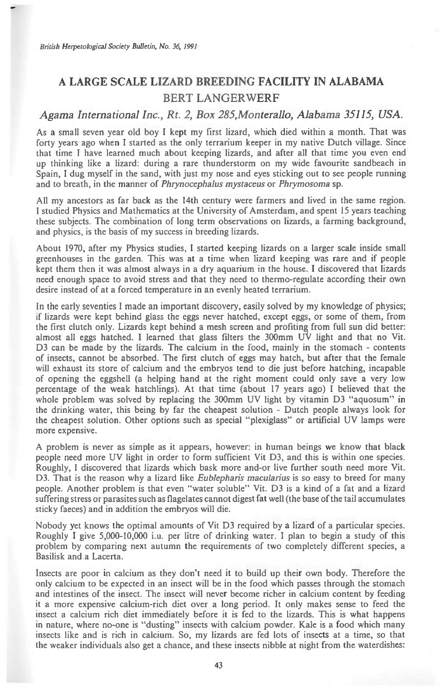## **A LARGE SCALE LIZARD BREEDING FACILITY IN ALABAMA**  BERT LANGERWERF

## *Agama International Inc., Rt. 2, Box 285,Monterallo, Alabama 35115, USA.*

As a small seven year old boy I kept my first lizard, which died within a month. That was forty years ago when I started as the only terrarium keeper in my native Dutch village. Since that time I have learned much about keeping lizards, and after all that time you even end up thinking like a lizard: during a rare thunderstorm on my wide favourite sandbeach in Spain, I dug myself in the sand, with just my nose and eyes sticking out to see people running and to breath, in the manner of *Phrynocephalus mystaceus* or *Phrymosoma* sp.

All my ancestors as far back as the 14th century were farmers and lived in the. same region. I studied Physics and Mathematics at the University of Amsterdam, and spent 15 years teaching these subjects. The combination of long term observations on lizards, a farming background, and physics, is the basis of my success in breeding lizards.

About 1970, after my Physics studies, I started keeping lizards on a larger scale inside small greenhouses in the garden. This was at a time when lizard keeping was rare and if people kept them then it was almost always in a dry aquarium in the house. I discovered that lizards need enough space to avoid stress and that they need to thermo-regulate according their own desire instead of at a forced temperature in an evenly heated terrarium.

In the early seventies I made an important discovery, easily solved by my knowledge of physics; if lizards were kept behind glass the eggs never hatched, except eggs, or some of them, from the first clutch only. Lizards kept behind a mesh screen and profiting from full sun did better: almost all eggs hatched. I learned that glass filters the 300mm  $\vec{UV}$  light and that no Vit. D3 can be made by the lizards. The calcium in the food, mainly in the stomach - contents of insects, cannot be absorbed. The first clutch of eggs may hatch, but after that the female will exhaust its store of calcium and the embryos tend to die just before hatching, incapable of opening the eggshell (a helping hand at the right moment could only save a very low percentage of the weak hatchlings). At that time (about 17 years ago) I believed that the whole problem was solved by replacing the 300mm UV light by vitamin D3 "aquosum" in the drinking water, this being by far the cheapest solution - Dutch people always look for the cheapest solution. Other options such as special "plexiglass" or artificial UV lamps were more expensive.

A problem is never as simple as it appears, however: in human beings we know that black people need more UV light in order to form sufficient Vit D3, and this is within one species. Roughly, I discovered that lizards which bask more and-or live further south need more Vit. D3. That is the reason why a lizard like *Eublepharis macularius is* so easy to breed for many people. Another problem is that even "water soluble" Vit. D3 is a kind of a fat and a lizard suffering stress or parasites such as flagelates cannot digest fat well (the base of the tail accumulates sticky faeces) and in addition the embryos will die.

Nobody yet knows the optimal amounts of Vit D3 required by a lizard of a particular species. Roughly I give 5,000-10,000 i.u. per litre of drinking water. I plan to begin a study of this problem by comparing next autumn the requirements of two completely different species, a Basilisk and .a Lacerta.

Insects are poor in calcium as they don't need it to build up their own body. Therefore the only calcium to be expected in an insect will be in the food which passes through the stomach and intestines of the insect. The insect will never become richer in calcium content by feeding it a more expensive calcium-rich diet over a long period. It only makes sense to feed the insect a calcium rich diet immediately before it is fed to the lizards. This is what happens in nature, where no-one is "dusting" insects with calcium powder. Kale is a food which many insects like and is rich in calcium. So, my lizards are fed lots of insects at a time, so that the weaker individuals also get a chance, and these insects nibble at night from the waterdishes: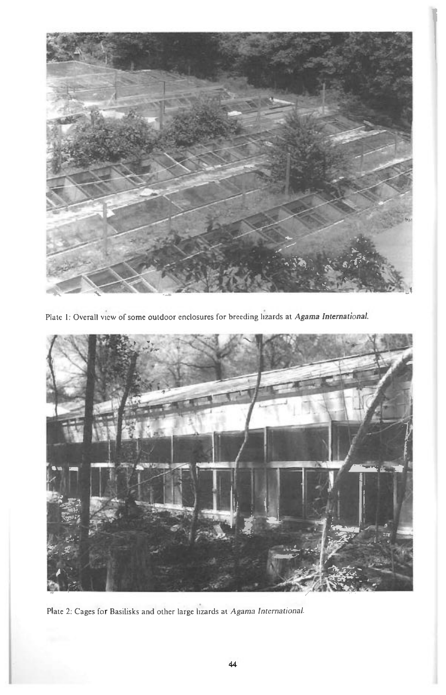

Plate I: Overall view of some outdoor enclosures for breeding lizards at *Agama International.* 



Plate 2: Cages for Basilisks and other large lizards at *Agama International.*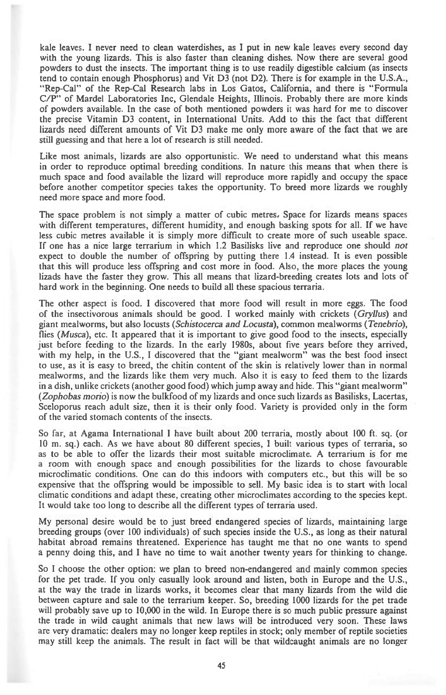kale leaves. I never need to clean waterdishes, as I put in new kale leaves every second day with the young lizards. This is also faster than cleaning dishes. Now there are several good powders to dust the insects. The important thing is to use readily digestible calcium (as insects tend to contain enough Phosphorus) and Vit D3 (not D2). There is for example in the U.S.A., "Rep-Cal" of the Rep-Cal Research labs in Los Gatos, California, and there is "Formula C/P" of Mardel Laboratories Inc, Glendale Heights, Illinois. Probably there are more kinds of powders available. In the case of both mentioned powders it was hard for me to discover the precise Vitamin D3 content, in International Units. Add to this the fact that different lizards need different amounts of Vit D3 make me only more aware of the fact that we are still guessing and that here a lot of research is still needed.

Like most animals, lizards are also opportunistic. We need to understand what this means in order to reproduce optimal breeding conditions. In nature this means that when there is much space and food available the lizard will reproduce more rapidly and occupy the space before another competitor species takes the opportunity. To breed more lizards we roughly need more space and more food.

The space problem is not simply a matter of cubic metres, Space for lizards means spaces with different temperatures, different humidity, and enough basking spots for all. If we have less cubic metres available it is simply more difficult to create more of such useable space. If one has a nice large terrarium in which 1.2 Basilisks live and reproduce one should *not*  expect to double the number of offspring by putting there 1.4 instead. It is even possible that this will produce less offspring and cost more in food. Also, the more places the young lizads have the faster they grow. This all means that lizard-breeding creates lots and lots of hard work in the beginning. One needs to build all these spacious terraria.

The other aspect is food. I discovered that more food will result in more eggs. The food of the insectivorous animals should be good. I worked mainly with crickets *(Gryllus)* and giant mealworms, but also locusts *(Schistocerca and Locusta),* common mealworms *(Tenebrio), flies (Musca), etc.* It appeared that it is important to give good food to the insects, especially just before feeding to the lizards. In the early 1980s, about five years before they arrived, with my help, in the U.S., I discovered that the "giant mealworm" was the best food insect to use, as it is easy to breed, the chitin content of the skin is relatively lower than in normal mealworms, and the lizards like them very much. Also it is easy to feed them to the lizards in a dish, unlike crickets (another good food) which jump away and hide. This "giant mealworm" *(Zophobas mono)* is now the bulkfood of my lizards and once such lizards as Basilisks, Lacertas, Sceloporus reach adult size, then it is their only food. Variety is provided only in the form of the varied stomach contents of the insects.

So far, at Agama International I have built about 200 terraria, mostly about 100 ft. sq. (or 10 m. sq.) each. As we have about 80 different species, I built various types of terraria, so as to be able to offer the lizards their most suitable microclimate. A terrarium is for me a room with enough space and enough possibilities for the lizards to chose favourable microclimatic conditions. One can do this indoors with computers etc., but this will be so expensive that the offspring would be impossible to sell. My basic idea is to start with local climatic conditions and adapt these, creating other microclimates according to the species kept. It would take too long to describe all the different types of terraria used.

My personal desire would be to just breed endangered species of lizards, maintaining large breeding groups (over 100 individuals) of such species inside the U.S., as long as their natural habitat abroad remains threatened. Experience has taught me that no one wants to spend a penny doing this, and I have no time to wait another twenty years for thinking to change.

So I choose the other option: we plan to breed non-endangered and mainly common species for the pet trade. If you only casually look around and listen, both in Europe and the U.S., at the way the trade in lizards works, it becomes clear that many lizards from the wild die between capture and sale to the terrarium keeper. So, breeding 1000 lizards for the pet trade will probably save up to 10,000 in the wild. In Europe there is so much public pressure against the trade in wild caught animals that new laws will be introduced very soon. These laws are very dramatic: dealers may no longer keep reptiles in stock; only member of reptile societies may still keep the animals. The result in fact will be that wildcaught animals are no longer